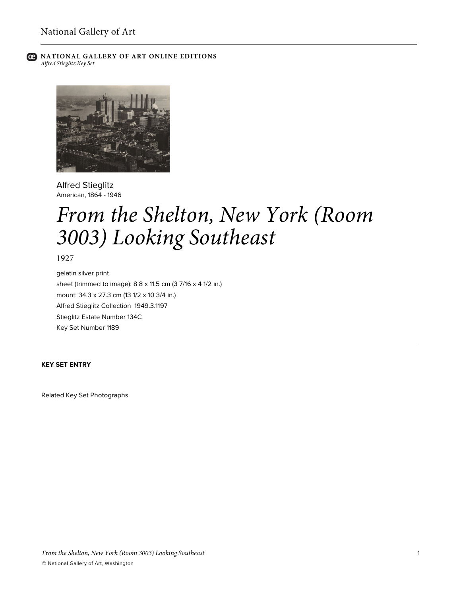

**C** NATIONAL GALLERY OF ART ONLINE EDITIONS *Alfred Stieglitz Key Set*



Alfred Stieglitz American, 1864 - 1946

# *From the Shelton, New York (Room 3003) Looking Southeast*

1927

gelatin silver print sheet (trimmed to image): 8.8 x 11.5 cm (3 7/16 x 4 1/2 in.) mount: 34.3 x 27.3 cm (13 1/2 x 10 3/4 in.) Alfred Stieglitz Collection 1949.3.1197 Stieglitz Estate Number 134C Key Set Number 1189

## **KEY SET ENTRY**

Related Key Set Photographs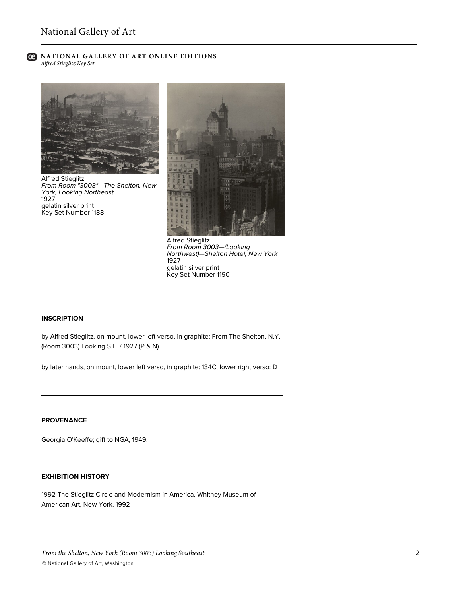#### **C** NATIONAL GALLERY OF ART ONLINE EDITIONS *Alfred Stieglitz Key Set*



Alfred Stieglitz *From Room "3003"—The Shelton, New York, Looking Northeast* 1927 gelatin silver print Key Set Number 1188



Alfred Stieglitz *From Room 3003—(Looking Northwest)—Shelton Hotel, New York* 1927 gelatin silver print Key Set Number 1190

### **INSCRIPTION**

by Alfred Stieglitz, on mount, lower left verso, in graphite: From The Shelton, N.Y. (Room 3003) Looking S.E. / 1927 (P & N)

by later hands, on mount, lower left verso, in graphite: 134C; lower right verso: D

#### **PROVENANCE**

Georgia O'Keeffe; gift to NGA, 1949.

## **EXHIBITION HISTORY**

1992 The Stieglitz Circle and Modernism in America, Whitney Museum of American Art, New York, 1992